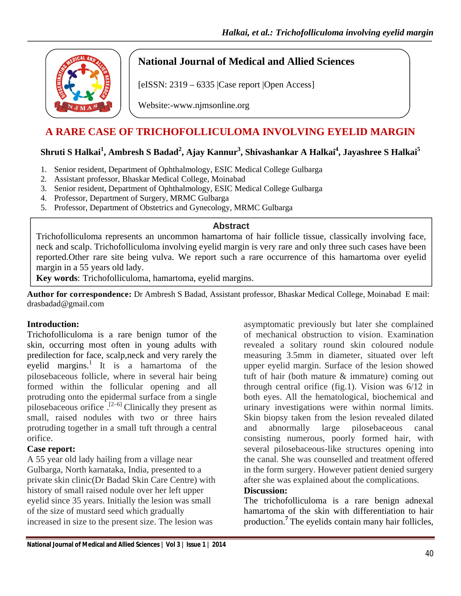

## **National Journal of Medical and Allied Sciences**

[eISSN: 2319 – 6335 |Case report |Open Access]

Website:-www.njmsonline.org

# **A RARE CASE OF TRICHOFOLLICULOMA INVOLVING EYELID MARGIN**

### $\boldsymbol{\mathrm{Shruti}}$  **S** Halkai $^{1}$ , Ambresh S Badad $^{2}$ , Ajay Kannur $^{3}$ , Shivashankar A Halkai $^{4}$ , Jayashree S Halkai $^{5}$

- 1. Senior resident, Department of Ophthalmology, ESIC Medical College Gulbarga
- 2. Assistant professor, Bhaskar Medical College, Moinabad
- 3. Senior resident, Department of Ophthalmology, ESIC Medical College Gulbarga
- 4. Professor, Department of Surgery, MRMC Gulbarga
- 5. Professor, Department of Obstetrics and Gynecology, MRMC Gulbarga

### **Abstract**

Trichofolliculoma represents an uncommon hamartoma of hair follicle tissue, classically involving face, neck and scalp. Trichofolliculoma involving eyelid margin is very rare and only three such cases have been reported.Other rare site being vulva. We report such a rare occurrence of this hamartoma over eyelid margin in a 55 years old lady.

**Key words**: Trichofolliculoma, hamartoma, eyelid margins.

**Author for correspondence:** Dr Ambresh S Badad, Assistant professor, Bhaskar Medical College, Moinabad E mail: drasbadad@gmail.com

### **Introduction:**

Trichofolliculoma is a rare benign tumor of the skin, occurring most often in young adults with predilection for face, scalp,neck and very rarely the eyelid margins.<sup>1</sup> It is a hamartoma of the pilosebaceous follicle, where in several hair being formed within the follicular opening and all protruding onto the epidermal surface from a single pilosebaceous orifice.<sup>[2–6]</sup> Clinically they present as small, raised nodules with two or three hairs protruding together in a small tuft through a central orifice.

### **Case report:**

A 55 year old lady hailing from a village near Gulbarga, North karnataka, India, presented to a private skin clinic(Dr Badad Skin Care Centre) with history of small raised nodule over her left upper eyelid since 35 years. Initially the lesion was small of the size of mustard seed which gradually increased in size to the present size. The lesion was

asymptomatic previously but later she complained of mechanical obstruction to vision. Examination revealed a solitary round skin coloured nodule measuring 3.5mm in diameter, situated over left upper eyelid margin. Surface of the lesion showed tuft of hair (both mature & immature) coming out through central orifice (fig.1). Vision was 6/12 in both eyes. All the hematological, biochemical and urinary investigations were within normal limits. Skin biopsy taken from the lesion revealed dilated and abnormally large pilosebaceous canal consisting numerous, poorly formed hair, with several pilosebaceous-like structures opening into the canal. She was counselled and treatment offered in the form surgery. However patient denied surgery after she was explained about the complications.

### **Discussion:**

The trichofolliculoma is a rare benign adnexal hamartoma of the skin with differentiation to hair production.**<sup>7</sup>** The eyelids contain many hair follicles,